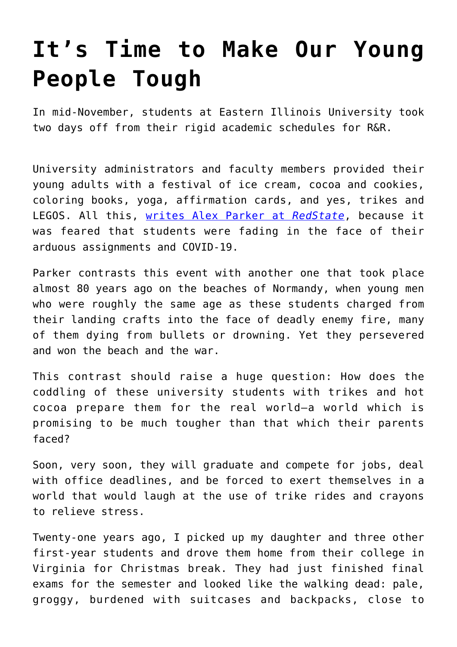## **[It's Time to Make Our Young](https://intellectualtakeout.org/2021/12/its-time-to-make-our-young-people-tough/) [People Tough](https://intellectualtakeout.org/2021/12/its-time-to-make-our-young-people-tough/)**

In mid-November, students at Eastern Illinois University took two days off from their rigid academic schedules for R&R.

University administrators and faculty members provided their young adults with a festival of ice cream, cocoa and cookies, coloring books, yoga, affirmation cards, and yes, trikes and LEGOS. All this, [writes Alex Parker at](https://redstate.com/alexparker/2021/12/08/illinois-university-attempts-to-de-stress-its-brave-but-struggling-students-with-tricycles-and-lego-n488178) *[RedState](https://redstate.com/alexparker/2021/12/08/illinois-university-attempts-to-de-stress-its-brave-but-struggling-students-with-tricycles-and-lego-n488178)*, because it was feared that students were fading in the face of their arduous assignments and COVID-19.

Parker contrasts this event with another one that took place almost 80 years ago on the beaches of Normandy, when young men who were roughly the same age as these students charged from their landing crafts into the face of deadly enemy fire, many of them dying from bullets or drowning. Yet they persevered and won the beach and the war.

This contrast should raise a huge question: How does the coddling of these university students with trikes and hot cocoa prepare them for the real world—a world which is promising to be much tougher than that which their parents faced?

Soon, very soon, they will graduate and compete for jobs, deal with office deadlines, and be forced to exert themselves in a world that would laugh at the use of trike rides and crayons to relieve stress.

Twenty-one years ago, I picked up my daughter and three other first-year students and drove them home from their college in Virginia for Christmas break. They had just finished final exams for the semester and looked like the walking dead: pale, groggy, burdened with suitcases and backpacks, close to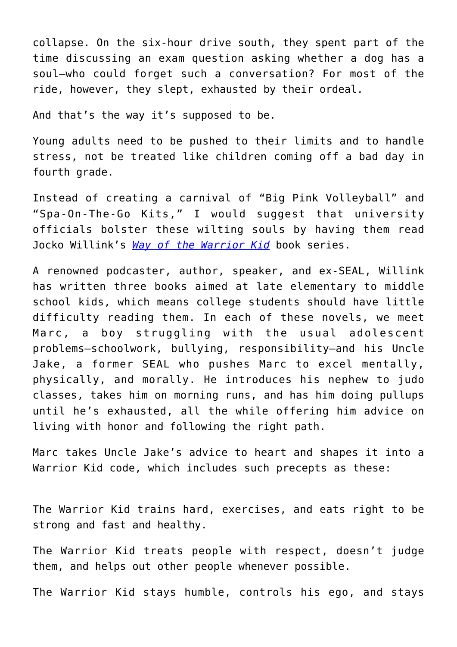collapse. On the six-hour drive south, they spent part of the time discussing an exam question asking whether a dog has a soul—who could forget such a conversation? For most of the ride, however, they slept, exhausted by their ordeal.

And that's the way it's supposed to be.

Young adults need to be pushed to their limits and to handle stress, not be treated like children coming off a bad day in fourth grade.

Instead of creating a carnival of "Big Pink Volleyball" and "Spa-On-The-Go Kits," I would suggest that university officials bolster these wilting souls by having them read Jocko Willink's *[Way of the Warrior Kid](https://www.amazon.com/gp/product/1250158613/ref=as_li_qf_asin_il_tl?ie=UTF8&tag=intelltakeo0d-20&creative=9325&linkCode=as2&creativeASIN=1250158613&linkId=efc90255723f9c6174db236dde3ddbe9)* book series.

A renowned podcaster, author, speaker, and ex-SEAL, Willink has written three books aimed at late elementary to middle school kids, which means college students should have little difficulty reading them. In each of these novels, we meet Marc, a boy struggling with the usual adolescent problems—schoolwork, bullying, responsibility—and his Uncle Jake, a former SEAL who pushes Marc to excel mentally, physically, and morally. He introduces his nephew to judo classes, takes him on morning runs, and has him doing pullups until he's exhausted, all the while offering him advice on living with honor and following the right path.

Marc takes Uncle Jake's advice to heart and shapes it into a Warrior Kid code, which includes such precepts as these:

The Warrior Kid trains hard, exercises, and eats right to be strong and fast and healthy.

The Warrior Kid treats people with respect, doesn't judge them, and helps out other people whenever possible.

The Warrior Kid stays humble, controls his ego, and stays